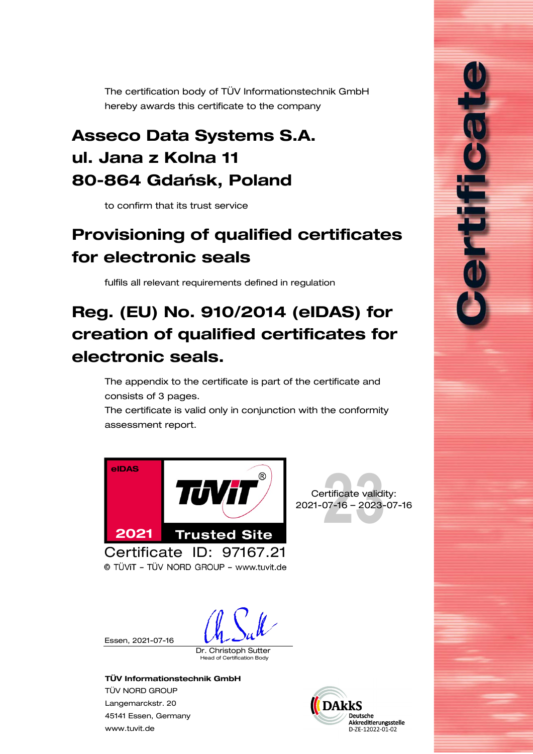<span id="page-0-0"></span>The certification body of TÜV Informationstechnik GmbH hereby awards this certificate to the company

## Asseco Data Systems S.A. ul. Jana z Kolna 11 80-864 Gdańsk, Poland

to confirm that its trust service

# <span id="page-0-1"></span>Provisioning of qualified certificates for electronic seals

fulfils all relevant requirements defined in regulation

# Reg. (EU) No. 910/2014 (eIDAS) for creation of qualified certificates for electronic seals.

The appendix to the certificate is part of the certificate and consists of [3](#page-1-0) pages.

The certificate is valid only in conjunction with the conformity assessment report.





ווחים (

© TÜVIT - TÜV NORD GROUP - www.tuvit.de

Essen, [2021-07-16](#page-0-0)

Dr. Christoph Sutter

ad of Certification Body

#### TÜV Informationstechnik GmbH

TÜV NORD GROUP Langemarckstr. 20 45141 Essen, Germany [www.tuvit.de](http://www.tuvit.de/)

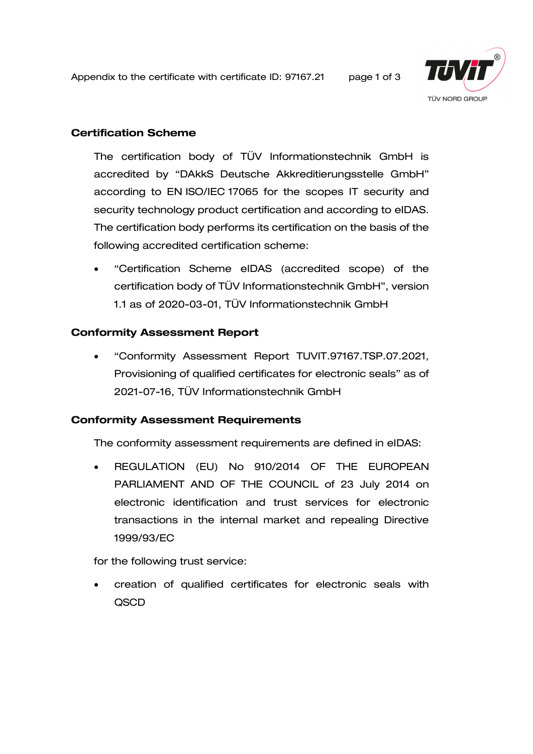<span id="page-1-0"></span>Appendix to the certificate with certificate ID: [97167.21](#page-0-0) page 1 of 3



#### Certification Scheme

The certification body of TÜV Informationstechnik GmbH is accredited by "DAkkS Deutsche Akkreditierungsstelle GmbH" according to EN ISO/IEC 17065 for the scopes IT security and security technology product certification and according to eIDAS. The certification body performs its certification on the basis of the following accredited certification scheme:

• "Certification Scheme eIDAS (accredited scope) of the certification body of TÜV Informationstechnik GmbH", version 1.1 as of 2020-03-01, TÜV Informationstechnik GmbH

#### Conformity Assessment Report

• "Conformity Assessment Report TUVIT[.97167.](#page-0-0)TSP.07.2021, [Provisioning of qualified certificates for electronic seals"](#page-0-1) as of 2021-07-16, TÜV Informationstechnik GmbH

#### Conformity Assessment Requirements

The conformity assessment requirements are defined in eIDAS:

• REGULATION (EU) No 910/2014 OF THE EUROPEAN PARLIAMENT AND OF THE COUNCIL of 23 July 2014 on electronic identification and trust services for electronic transactions in the internal market and repealing Directive 1999/93/EC

for the following trust service:

creation of qualified certificates for electronic seals with QSCD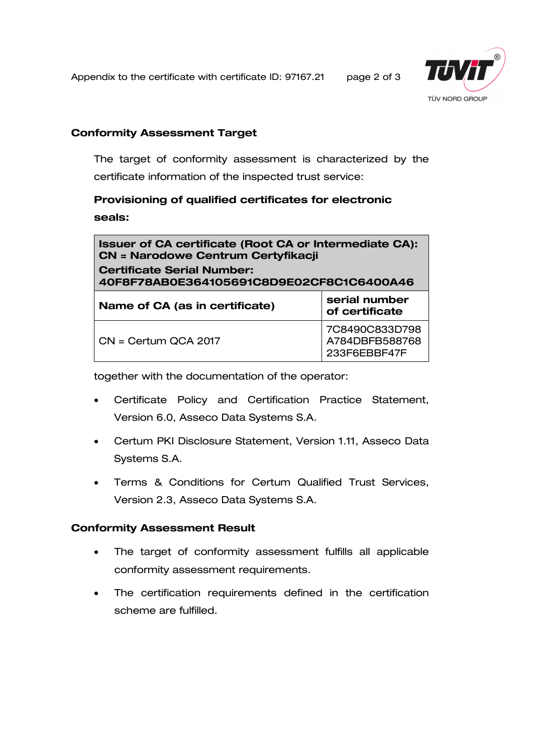Appendix to the certificate with certificate ID: [97167.21](#page-0-0) page 2 of 3



#### Conformity Assessment Target

The target of conformity assessment is characterized by the certificate information of the inspected trust service:

### Provisioning of qualified [certificates for electronic](#page-0-1)  [seals:](#page-0-1)

| <b>Issuer of CA certificate (Root CA or Intermediate CA):</b><br><b>CN = Narodowe Centrum Certyfikacji</b><br><b>Certificate Serial Number:</b><br>40F8F78AB0E364105691C8D9E02CF8C1C6400A46 |                                                  |
|---------------------------------------------------------------------------------------------------------------------------------------------------------------------------------------------|--------------------------------------------------|
| Name of CA (as in certificate)                                                                                                                                                              | serial number<br>of certificate                  |
| CN = Certum QCA 2017                                                                                                                                                                        | 7C8490C833D798<br>A784DBFB588768<br>233F6EBBF47F |

together with the documentation of the operator:

- Certificate Policy and Certification Practice Statement, Version 6.0, Asseco Data Systems S.A.
- Certum PKI Disclosure Statement, Version 1.11, Asseco Data Systems S.A.
- Terms & Conditions for Certum Qualified Trust Services, Version 2.3, Asseco Data Systems S.A.

#### Conformity Assessment Result

- The target of conformity assessment fulfills all applicable conformity assessment requirements.
- The certification requirements defined in the certification scheme are fulfilled.